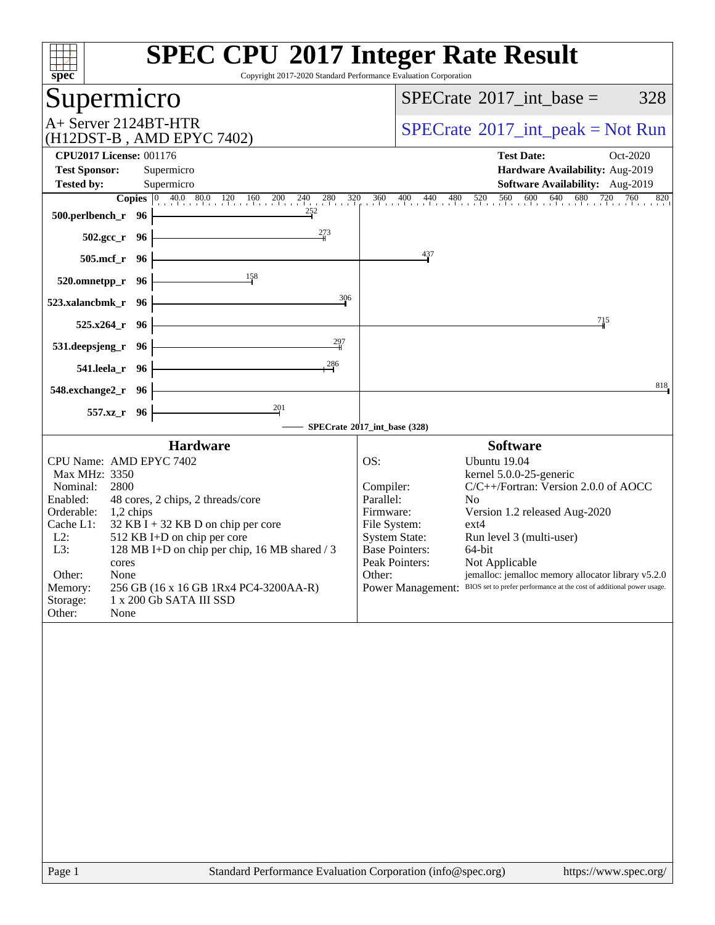| Copyright 2017-2020 Standard Performance Evaluation Corporation<br>spec <sup>®</sup>                                                                                                                                                                                                                                                                                                                                                   | <b>SPEC CPU®2017 Integer Rate Result</b>                                                                                                                                                                                                                                                                                                                                                                                                                                                                     |
|----------------------------------------------------------------------------------------------------------------------------------------------------------------------------------------------------------------------------------------------------------------------------------------------------------------------------------------------------------------------------------------------------------------------------------------|--------------------------------------------------------------------------------------------------------------------------------------------------------------------------------------------------------------------------------------------------------------------------------------------------------------------------------------------------------------------------------------------------------------------------------------------------------------------------------------------------------------|
| Supermicro                                                                                                                                                                                                                                                                                                                                                                                                                             | 328<br>$SPECrate^{\circledast}2017\_int\_base =$                                                                                                                                                                                                                                                                                                                                                                                                                                                             |
| A+ Server 2124BT-HTR<br>(H12DST-B, AMD EPYC 7402)                                                                                                                                                                                                                                                                                                                                                                                      | $SPECrate^{\circ}2017\_int\_peak = Not Run$                                                                                                                                                                                                                                                                                                                                                                                                                                                                  |
| <b>CPU2017 License: 001176</b>                                                                                                                                                                                                                                                                                                                                                                                                         | <b>Test Date:</b><br>Oct-2020                                                                                                                                                                                                                                                                                                                                                                                                                                                                                |
| <b>Test Sponsor:</b><br>Supermicro                                                                                                                                                                                                                                                                                                                                                                                                     | Hardware Availability: Aug-2019                                                                                                                                                                                                                                                                                                                                                                                                                                                                              |
| <b>Tested by:</b><br>Supermicro                                                                                                                                                                                                                                                                                                                                                                                                        | Software Availability: Aug-2019                                                                                                                                                                                                                                                                                                                                                                                                                                                                              |
| <b>Copies</b> 0 40.0 80.0 120 160 200<br>$240$ $280$ $320$<br>252<br>500.perlbench_r 96                                                                                                                                                                                                                                                                                                                                                | 360<br>400 440 480 520 560 600 640 680 720 760<br>820                                                                                                                                                                                                                                                                                                                                                                                                                                                        |
| 273<br>$502.\mathrm{gcc}$ _r<br>- 96                                                                                                                                                                                                                                                                                                                                                                                                   |                                                                                                                                                                                                                                                                                                                                                                                                                                                                                                              |
| $505$ .mcf_r<br>- 96                                                                                                                                                                                                                                                                                                                                                                                                                   | $^{437}$                                                                                                                                                                                                                                                                                                                                                                                                                                                                                                     |
| 158<br>520.omnetpp_r 96                                                                                                                                                                                                                                                                                                                                                                                                                |                                                                                                                                                                                                                                                                                                                                                                                                                                                                                                              |
| 306<br>523.xalancbmk_r<br>- 96                                                                                                                                                                                                                                                                                                                                                                                                         |                                                                                                                                                                                                                                                                                                                                                                                                                                                                                                              |
| $525.x264$ r<br>- 96                                                                                                                                                                                                                                                                                                                                                                                                                   | 715                                                                                                                                                                                                                                                                                                                                                                                                                                                                                                          |
| 297<br>531.deepsjeng_r<br>- 96                                                                                                                                                                                                                                                                                                                                                                                                         |                                                                                                                                                                                                                                                                                                                                                                                                                                                                                                              |
| 286<br>541.leela_r 96                                                                                                                                                                                                                                                                                                                                                                                                                  |                                                                                                                                                                                                                                                                                                                                                                                                                                                                                                              |
| 548.exchange2_r 96                                                                                                                                                                                                                                                                                                                                                                                                                     | 818                                                                                                                                                                                                                                                                                                                                                                                                                                                                                                          |
| $\frac{201}{2}$<br>557.xz_r 96                                                                                                                                                                                                                                                                                                                                                                                                         |                                                                                                                                                                                                                                                                                                                                                                                                                                                                                                              |
| <b>Hardware</b>                                                                                                                                                                                                                                                                                                                                                                                                                        | SPECrate®2017_int_base (328)<br><b>Software</b>                                                                                                                                                                                                                                                                                                                                                                                                                                                              |
| CPU Name: AMD EPYC 7402<br>Max MHz: 3350<br>Nominal:<br>2800<br>Enabled:<br>48 cores, 2 chips, 2 threads/core<br>Orderable:<br>1,2 chips<br>Cache L1:<br>$32$ KB I + 32 KB D on chip per core<br>$L2$ :<br>512 KB I+D on chip per core<br>L3:<br>128 MB I+D on chip per chip, 16 MB shared / 3<br>cores<br>Other:<br>None<br>Memory:<br>256 GB (16 x 16 GB 1Rx4 PC4-3200AA-R)<br>Storage:<br>1 x 200 Gb SATA III SSD<br>Other:<br>None | OS:<br>Ubuntu 19.04<br>kernel 5.0.0-25-generic<br>Compiler:<br>C/C++/Fortran: Version 2.0.0 of AOCC<br>Parallel:<br>N <sub>0</sub><br>Firmware:<br>Version 1.2 released Aug-2020<br>File System:<br>$ext{4}$<br><b>System State:</b><br>Run level 3 (multi-user)<br><b>Base Pointers:</b><br>64-bit<br>Peak Pointers:<br>Not Applicable<br>jemalloc: jemalloc memory allocator library v5.2.0<br>Other:<br>BIOS set to prefer performance at the cost of additional power usage.<br><b>Power Management:</b> |
| Page 1<br>Standard Performance Evaluation Corporation (info@spec.org)                                                                                                                                                                                                                                                                                                                                                                  | https://www.spec.org/                                                                                                                                                                                                                                                                                                                                                                                                                                                                                        |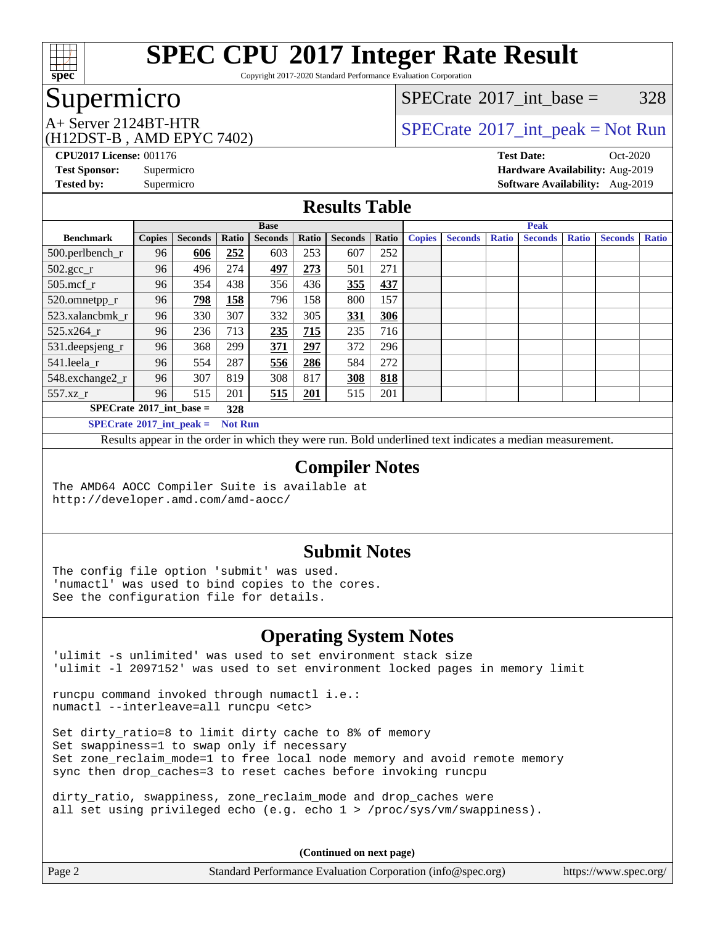

Copyright 2017-2020 Standard Performance Evaluation Corporation

# Supermicro

[SPECrate](http://www.spec.org/auto/cpu2017/Docs/result-fields.html#SPECrate2017intbase)<sup>®</sup>2017 int base =  $328$ 

(H12DST-B , AMD EPYC 7402)

 $A+$  Server 2124BT-HTR<br>(H12DST B, AMD EBVC 7402)

**[CPU2017 License:](http://www.spec.org/auto/cpu2017/Docs/result-fields.html#CPU2017License)** 001176 **[Test Date:](http://www.spec.org/auto/cpu2017/Docs/result-fields.html#TestDate)** Oct-2020 **[Test Sponsor:](http://www.spec.org/auto/cpu2017/Docs/result-fields.html#TestSponsor)** Supermicro **[Hardware Availability:](http://www.spec.org/auto/cpu2017/Docs/result-fields.html#HardwareAvailability)** Aug-2019 **[Tested by:](http://www.spec.org/auto/cpu2017/Docs/result-fields.html#Testedby)** Supermicro **[Software Availability:](http://www.spec.org/auto/cpu2017/Docs/result-fields.html#SoftwareAvailability)** Aug-2019

#### **[Results Table](http://www.spec.org/auto/cpu2017/Docs/result-fields.html#ResultsTable)**

|                                            | <b>Base</b>   |                |       |                | <b>Peak</b> |                |       |               |                |              |                |              |                |              |
|--------------------------------------------|---------------|----------------|-------|----------------|-------------|----------------|-------|---------------|----------------|--------------|----------------|--------------|----------------|--------------|
| <b>Benchmark</b>                           | <b>Copies</b> | <b>Seconds</b> | Ratio | <b>Seconds</b> | Ratio       | <b>Seconds</b> | Ratio | <b>Copies</b> | <b>Seconds</b> | <b>Ratio</b> | <b>Seconds</b> | <b>Ratio</b> | <b>Seconds</b> | <b>Ratio</b> |
| 500.perlbench_r                            | 96            | 606            | 252   | 603            | 253         | 607            | 252   |               |                |              |                |              |                |              |
| $502.\text{gcc}$ <sub>r</sub>              | 96            | 496            | 274   | 497            | 273         | 501            | 271   |               |                |              |                |              |                |              |
| $505$ .mcf r                               | 96            | 354            | 438   | 356            | 436         | 355            | 437   |               |                |              |                |              |                |              |
| 520.omnetpp_r                              | 96            | 798            | 158   | 796            | 158         | 800            | 157   |               |                |              |                |              |                |              |
| 523.xalancbmk r                            | 96            | 330            | 307   | 332            | 305         | 331            | 306   |               |                |              |                |              |                |              |
| 525.x264 r                                 | 96            | 236            | 713   | 235            | 715         | 235            | 716   |               |                |              |                |              |                |              |
| 531.deepsjeng_r                            | 96            | 368            | 299   | 371            | 297         | 372            | 296   |               |                |              |                |              |                |              |
| 541.leela_r                                | 96            | 554            | 287   | 556            | 286         | 584            | 272   |               |                |              |                |              |                |              |
| 548.exchange2_r                            | 96            | 307            | 819   | 308            | 817         | 308            | 818   |               |                |              |                |              |                |              |
| 557.xz                                     | 96            | 515            | 201   | 515            | 201         | 515            | 201   |               |                |              |                |              |                |              |
| $SPECrate^{\circ}2017\_int\_base =$<br>328 |               |                |       |                |             |                |       |               |                |              |                |              |                |              |
| $SPFCrata@2017$ int neak –<br>Not Run      |               |                |       |                |             |                |       |               |                |              |                |              |                |              |

**[SPECrate](http://www.spec.org/auto/cpu2017/Docs/result-fields.html#SPECrate2017intpeak)[2017\\_int\\_peak =](http://www.spec.org/auto/cpu2017/Docs/result-fields.html#SPECrate2017intpeak) Not Run**

Results appear in the [order in which they were run](http://www.spec.org/auto/cpu2017/Docs/result-fields.html#RunOrder). Bold underlined text [indicates a median measurement](http://www.spec.org/auto/cpu2017/Docs/result-fields.html#Median).

#### **[Compiler Notes](http://www.spec.org/auto/cpu2017/Docs/result-fields.html#CompilerNotes)**

The AMD64 AOCC Compiler Suite is available at <http://developer.amd.com/amd-aocc/>

#### **[Submit Notes](http://www.spec.org/auto/cpu2017/Docs/result-fields.html#SubmitNotes)**

The config file option 'submit' was used. 'numactl' was used to bind copies to the cores. See the configuration file for details.

#### **[Operating System Notes](http://www.spec.org/auto/cpu2017/Docs/result-fields.html#OperatingSystemNotes)**

'ulimit -s unlimited' was used to set environment stack size 'ulimit -l 2097152' was used to set environment locked pages in memory limit

runcpu command invoked through numactl i.e.: numactl --interleave=all runcpu <etc>

Set dirty\_ratio=8 to limit dirty cache to 8% of memory Set swappiness=1 to swap only if necessary Set zone\_reclaim\_mode=1 to free local node memory and avoid remote memory sync then drop\_caches=3 to reset caches before invoking runcpu

dirty\_ratio, swappiness, zone\_reclaim\_mode and drop\_caches were all set using privileged echo (e.g. echo 1 > /proc/sys/vm/swappiness).

**(Continued on next page)**

Page 2 Standard Performance Evaluation Corporation [\(info@spec.org\)](mailto:info@spec.org) <https://www.spec.org/>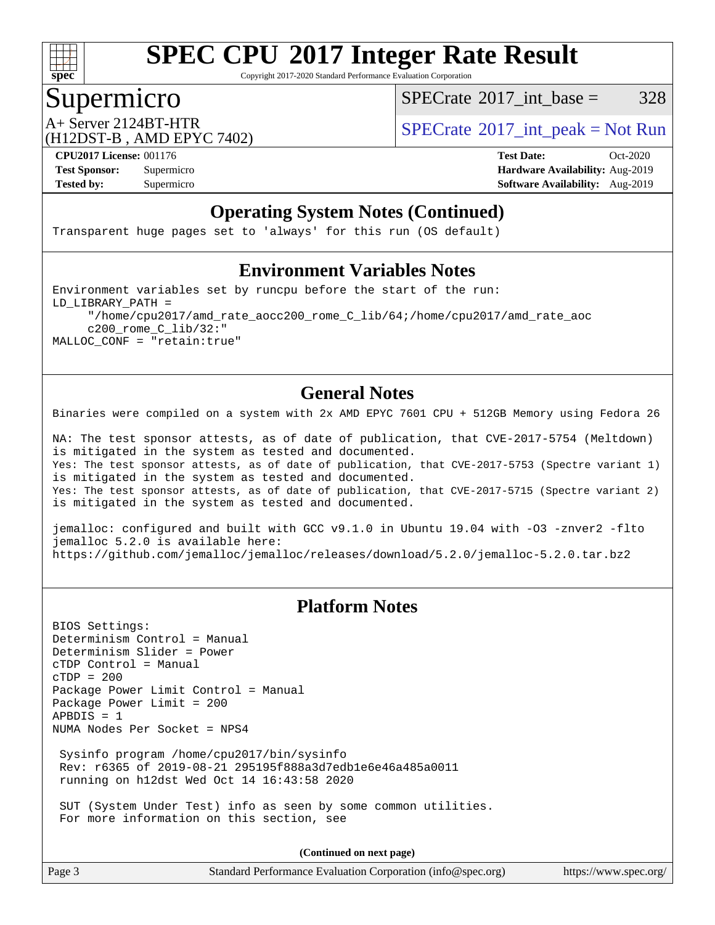

Copyright 2017-2020 Standard Performance Evaluation Corporation

# Supermicro

[SPECrate](http://www.spec.org/auto/cpu2017/Docs/result-fields.html#SPECrate2017intbase)<sup>®</sup>2017 int base =  $328$ 

(H12DST-B , AMD EPYC 7402)

 $A+$  Server 2124BT-HTR<br>(H12DST B, AMD EBVC 7402)

**[Tested by:](http://www.spec.org/auto/cpu2017/Docs/result-fields.html#Testedby)** Supermicro **Supermicro [Software Availability:](http://www.spec.org/auto/cpu2017/Docs/result-fields.html#SoftwareAvailability)** Aug-2019

**[CPU2017 License:](http://www.spec.org/auto/cpu2017/Docs/result-fields.html#CPU2017License)** 001176 **[Test Date:](http://www.spec.org/auto/cpu2017/Docs/result-fields.html#TestDate)** Oct-2020 **[Test Sponsor:](http://www.spec.org/auto/cpu2017/Docs/result-fields.html#TestSponsor)** Supermicro **[Hardware Availability:](http://www.spec.org/auto/cpu2017/Docs/result-fields.html#HardwareAvailability)** Aug-2019

#### **[Operating System Notes \(Continued\)](http://www.spec.org/auto/cpu2017/Docs/result-fields.html#OperatingSystemNotes)**

Transparent huge pages set to 'always' for this run (OS default)

#### **[Environment Variables Notes](http://www.spec.org/auto/cpu2017/Docs/result-fields.html#EnvironmentVariablesNotes)**

Environment variables set by runcpu before the start of the run: LD\_LIBRARY\_PATH = "/home/cpu2017/amd\_rate\_aocc200\_rome\_C\_lib/64;/home/cpu2017/amd\_rate\_aoc c200\_rome\_C\_lib/32:" MALLOC\_CONF = "retain:true"

#### **[General Notes](http://www.spec.org/auto/cpu2017/Docs/result-fields.html#GeneralNotes)**

Binaries were compiled on a system with 2x AMD EPYC 7601 CPU + 512GB Memory using Fedora 26

NA: The test sponsor attests, as of date of publication, that CVE-2017-5754 (Meltdown) is mitigated in the system as tested and documented. Yes: The test sponsor attests, as of date of publication, that CVE-2017-5753 (Spectre variant 1) is mitigated in the system as tested and documented. Yes: The test sponsor attests, as of date of publication, that CVE-2017-5715 (Spectre variant 2) is mitigated in the system as tested and documented.

jemalloc: configured and built with GCC v9.1.0 in Ubuntu 19.04 with -O3 -znver2 -flto jemalloc 5.2.0 is available here: <https://github.com/jemalloc/jemalloc/releases/download/5.2.0/jemalloc-5.2.0.tar.bz2>

#### **[Platform Notes](http://www.spec.org/auto/cpu2017/Docs/result-fields.html#PlatformNotes)**

BIOS Settings: Determinism Control = Manual Determinism Slider = Power cTDP Control = Manual  $CTDP = 200$ Package Power Limit Control = Manual Package Power Limit = 200  $APBDIS = 1$ NUMA Nodes Per Socket = NPS4 Sysinfo program /home/cpu2017/bin/sysinfo Rev: r6365 of 2019-08-21 295195f888a3d7edb1e6e46a485a0011 running on h12dst Wed Oct 14 16:43:58 2020

 SUT (System Under Test) info as seen by some common utilities. For more information on this section, see

**(Continued on next page)**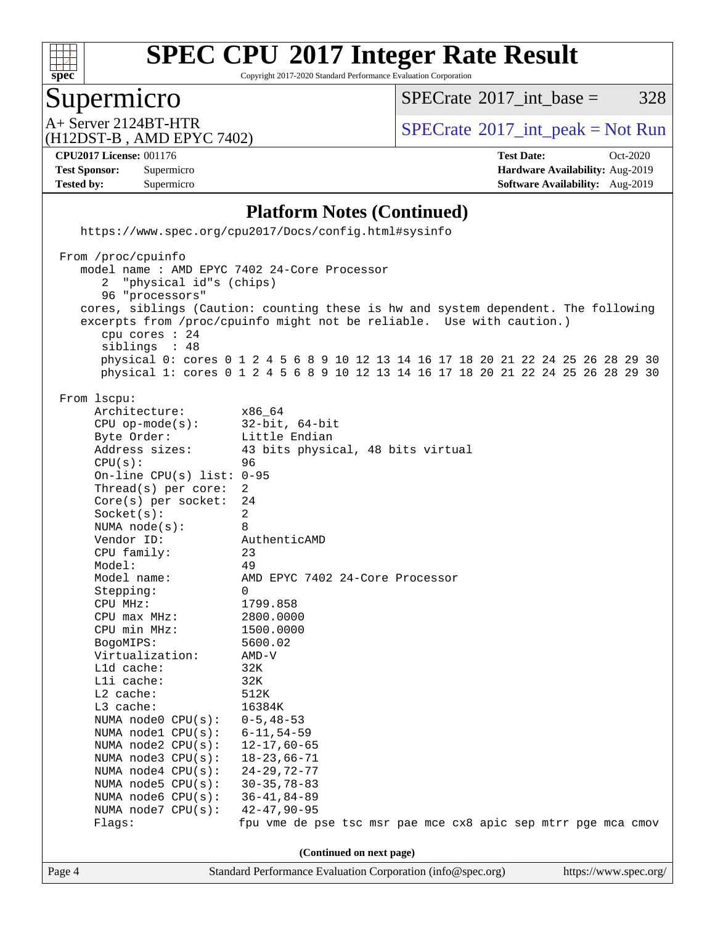

Copyright 2017-2020 Standard Performance Evaluation Corporation

# Supermicro<br>A+ Server 2124BT-HTR

 $SPECTate@2017\_int\_base = 328$ 

(H12DST-B , AMD EPYC 7402)

 $SPECTate$ <sup>®</sup>[2017\\_int\\_peak = N](http://www.spec.org/auto/cpu2017/Docs/result-fields.html#SPECrate2017intpeak)ot Run

**[Tested by:](http://www.spec.org/auto/cpu2017/Docs/result-fields.html#Testedby)** Supermicro **Supermicro [Software Availability:](http://www.spec.org/auto/cpu2017/Docs/result-fields.html#SoftwareAvailability)** Aug-2019

**[CPU2017 License:](http://www.spec.org/auto/cpu2017/Docs/result-fields.html#CPU2017License)** 001176 **[Test Date:](http://www.spec.org/auto/cpu2017/Docs/result-fields.html#TestDate)** Oct-2020 **[Test Sponsor:](http://www.spec.org/auto/cpu2017/Docs/result-fields.html#TestSponsor)** Supermicro **[Hardware Availability:](http://www.spec.org/auto/cpu2017/Docs/result-fields.html#HardwareAvailability)** Aug-2019

#### **[Platform Notes \(Continued\)](http://www.spec.org/auto/cpu2017/Docs/result-fields.html#PlatformNotes)**

|                          | https://www.spec.org/cpu2017/Docs/config.html#sysinfo                                                                                                                                                                                                                                                                                                                                                                                                                                                                                                                                                                                                                            |                                                                                                                                                                                                                                                                                                                                                                                                                                                                         |  |  |  |  |
|--------------------------|----------------------------------------------------------------------------------------------------------------------------------------------------------------------------------------------------------------------------------------------------------------------------------------------------------------------------------------------------------------------------------------------------------------------------------------------------------------------------------------------------------------------------------------------------------------------------------------------------------------------------------------------------------------------------------|-------------------------------------------------------------------------------------------------------------------------------------------------------------------------------------------------------------------------------------------------------------------------------------------------------------------------------------------------------------------------------------------------------------------------------------------------------------------------|--|--|--|--|
|                          | From /proc/cpuinfo<br>2 "physical id"s (chips)<br>96 "processors"<br>cpu cores $: 24$<br>siblings : 48                                                                                                                                                                                                                                                                                                                                                                                                                                                                                                                                                                           | model name : AMD EPYC 7402 24-Core Processor<br>cores, siblings (Caution: counting these is hw and system dependent. The following<br>excerpts from /proc/cpuinfo might not be reliable. Use with caution.)<br>physical 0: cores 0 1 2 4 5 6 8 9 10 12 13 14 16 17 18 20 21 22 24 25 26 28 29 30<br>physical 1: cores 0 1 2 4 5 6 8 9 10 12 13 14 16 17 18 20 21 22 24 25 26 28 29 30                                                                                   |  |  |  |  |
|                          | From 1scpu:<br>Architecture:<br>$CPU$ op-mode( $s$ ):<br>Byte Order:<br>Address sizes:<br>CPU(s):<br>On-line CPU(s) list: $0-95$<br>Thread( $s$ ) per core:<br>$Core(s)$ per socket:<br>Socket(s):<br>NUMA node(s):<br>Vendor ID:<br>CPU family:<br>Model:<br>Model name:<br>Stepping:<br>CPU MHz:<br>CPU max MHz: 2800.0000<br>CPU min MHz:<br>BogoMIPS:<br>Virtualization:<br>Lld cache:<br>Lli cache:<br>$L2$ cache:<br>$L3$ cache:<br>NUMA node0 CPU(s): 0-5,48-53<br>NUMA $node1$ $CPU(s):$<br>NUMA node2 CPU(s): 12-17,60-65<br>NUMA $node3$ CPU $(s)$ :<br>NUMA $node4$ $CPU(s):$<br>NUMA $node5$ $CPU(s):$<br>NUMA node6 $CPU(s):$<br>NUMA $node7$ CPU $(s)$ :<br>Flags: | x86_64<br>$32$ -bit, 64-bit<br>Little Endian<br>43 bits physical, 48 bits virtual<br>96<br>2<br>24<br>2<br>8<br>AuthenticAMD<br>23<br>49<br>AMD EPYC 7402 24-Core Processor<br>$\Omega$<br>1799.858<br>1500.0000<br>5600.02<br>AMD-V<br>32K<br>32K<br>512K<br>16384K<br>$6 - 11, 54 - 59$<br>$18 - 23,66 - 71$<br>$24 - 29, 72 - 77$<br>$30 - 35, 78 - 83$<br>$36 - 41, 84 - 89$<br>$42 - 47, 90 - 95$<br>fpu vme de pse tsc msr pae mce cx8 apic sep mtrr pge mca cmov |  |  |  |  |
| (Continued on next page) |                                                                                                                                                                                                                                                                                                                                                                                                                                                                                                                                                                                                                                                                                  |                                                                                                                                                                                                                                                                                                                                                                                                                                                                         |  |  |  |  |
| Page 4                   |                                                                                                                                                                                                                                                                                                                                                                                                                                                                                                                                                                                                                                                                                  | Standard Performance Evaluation Corporation (info@spec.org)<br>https://www.spec.org/                                                                                                                                                                                                                                                                                                                                                                                    |  |  |  |  |
|                          |                                                                                                                                                                                                                                                                                                                                                                                                                                                                                                                                                                                                                                                                                  |                                                                                                                                                                                                                                                                                                                                                                                                                                                                         |  |  |  |  |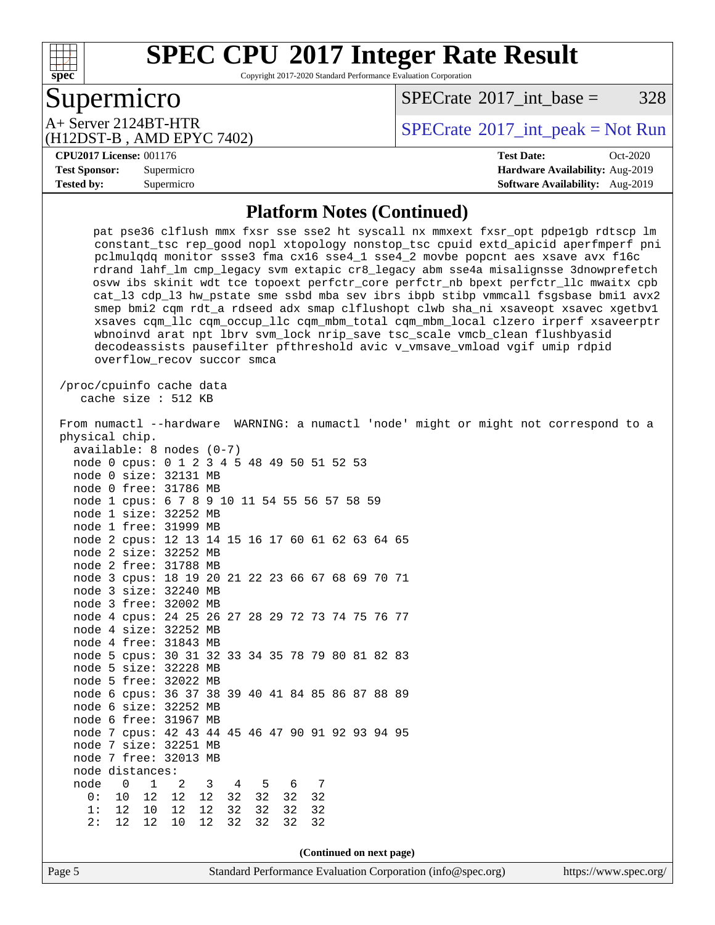

Copyright 2017-2020 Standard Performance Evaluation Corporation

# Supermicro<br>A+ Server 2124BT-HTR

 $SPECTate@2017\_int\_base = 328$ 

(H12DST-B , AMD EPYC 7402)

 $SPECTate$ <sup>®</sup>[2017\\_int\\_peak = N](http://www.spec.org/auto/cpu2017/Docs/result-fields.html#SPECrate2017intpeak)ot Run

#### **[CPU2017 License:](http://www.spec.org/auto/cpu2017/Docs/result-fields.html#CPU2017License)** 001176 **[Test Date:](http://www.spec.org/auto/cpu2017/Docs/result-fields.html#TestDate)** Oct-2020

**[Test Sponsor:](http://www.spec.org/auto/cpu2017/Docs/result-fields.html#TestSponsor)** Supermicro **[Hardware Availability:](http://www.spec.org/auto/cpu2017/Docs/result-fields.html#HardwareAvailability)** Aug-2019 **[Tested by:](http://www.spec.org/auto/cpu2017/Docs/result-fields.html#Testedby)** Supermicro **Supermicro [Software Availability:](http://www.spec.org/auto/cpu2017/Docs/result-fields.html#SoftwareAvailability)** Aug-2019

#### **[Platform Notes \(Continued\)](http://www.spec.org/auto/cpu2017/Docs/result-fields.html#PlatformNotes)**

| pat pse36 clflush mmx fxsr sse sse2 ht syscall nx mmxext fxsr_opt pdpe1gb rdtscp lm<br>constant_tsc rep_good nopl xtopology nonstop_tsc cpuid extd_apicid aperfmperf pni                                                                                                                                                                                                                                                                                                                                                                                                                                                                                                                                                   |
|----------------------------------------------------------------------------------------------------------------------------------------------------------------------------------------------------------------------------------------------------------------------------------------------------------------------------------------------------------------------------------------------------------------------------------------------------------------------------------------------------------------------------------------------------------------------------------------------------------------------------------------------------------------------------------------------------------------------------|
| pclmulqdq monitor ssse3 fma cx16 sse4_1 sse4_2 movbe popcnt aes xsave avx f16c<br>rdrand lahf_lm cmp_legacy svm extapic cr8_legacy abm sse4a misalignsse 3dnowprefetch<br>osvw ibs skinit wdt tce topoext perfctr_core perfctr_nb bpext perfctr_llc mwaitx cpb<br>cat_13 cdp_13 hw_pstate sme ssbd mba sev ibrs ibpb stibp vmmcall fsgsbase bmil avx2<br>smep bmi2 cqm rdt_a rdseed adx smap clflushopt clwb sha_ni xsaveopt xsavec xgetbvl<br>xsaves cqm_llc cqm_occup_llc cqm_mbm_total cqm_mbm_local clzero irperf xsaveerptr<br>wbnoinvd arat npt lbrv svm_lock nrip_save tsc_scale vmcb_clean flushbyasid<br>decodeassists pausefilter pfthreshold avic v_vmsave_vmload vgif umip rdpid<br>overflow_recov succor smca |
| /proc/cpuinfo cache data                                                                                                                                                                                                                                                                                                                                                                                                                                                                                                                                                                                                                                                                                                   |
| cache size : 512 KB                                                                                                                                                                                                                                                                                                                                                                                                                                                                                                                                                                                                                                                                                                        |
| From numactl --hardware WARNING: a numactl 'node' might or might not correspond to a                                                                                                                                                                                                                                                                                                                                                                                                                                                                                                                                                                                                                                       |
| physical chip.                                                                                                                                                                                                                                                                                                                                                                                                                                                                                                                                                                                                                                                                                                             |
| $available: 8 nodes (0-7)$<br>node 0 cpus: 0 1 2 3 4 5 48 49 50 51 52 53                                                                                                                                                                                                                                                                                                                                                                                                                                                                                                                                                                                                                                                   |
| node 0 size: 32131 MB                                                                                                                                                                                                                                                                                                                                                                                                                                                                                                                                                                                                                                                                                                      |
| node 0 free: 31786 MB                                                                                                                                                                                                                                                                                                                                                                                                                                                                                                                                                                                                                                                                                                      |
| node 1 cpus: 6 7 8 9 10 11 54 55 56 57 58 59                                                                                                                                                                                                                                                                                                                                                                                                                                                                                                                                                                                                                                                                               |
| node 1 size: 32252 MB                                                                                                                                                                                                                                                                                                                                                                                                                                                                                                                                                                                                                                                                                                      |
| node 1 free: 31999 MB                                                                                                                                                                                                                                                                                                                                                                                                                                                                                                                                                                                                                                                                                                      |
| node 2 cpus: 12 13 14 15 16 17 60 61 62 63 64 65                                                                                                                                                                                                                                                                                                                                                                                                                                                                                                                                                                                                                                                                           |
| node 2 size: 32252 MB                                                                                                                                                                                                                                                                                                                                                                                                                                                                                                                                                                                                                                                                                                      |
| node 2 free: 31788 MB                                                                                                                                                                                                                                                                                                                                                                                                                                                                                                                                                                                                                                                                                                      |
| node 3 cpus: 18 19 20 21 22 23 66 67 68 69 70 71                                                                                                                                                                                                                                                                                                                                                                                                                                                                                                                                                                                                                                                                           |
| node 3 size: 32240 MB                                                                                                                                                                                                                                                                                                                                                                                                                                                                                                                                                                                                                                                                                                      |
| node 3 free: 32002 MB                                                                                                                                                                                                                                                                                                                                                                                                                                                                                                                                                                                                                                                                                                      |
| node 4 cpus: 24 25 26 27 28 29 72 73 74 75 76 77                                                                                                                                                                                                                                                                                                                                                                                                                                                                                                                                                                                                                                                                           |
| node 4 size: 32252 MB                                                                                                                                                                                                                                                                                                                                                                                                                                                                                                                                                                                                                                                                                                      |
| node 4 free: 31843 MB                                                                                                                                                                                                                                                                                                                                                                                                                                                                                                                                                                                                                                                                                                      |
| node 5 cpus: 30 31 32 33 34 35 78 79 80 81 82 83<br>node 5 size: 32228 MB                                                                                                                                                                                                                                                                                                                                                                                                                                                                                                                                                                                                                                                  |
| node 5 free: 32022 MB                                                                                                                                                                                                                                                                                                                                                                                                                                                                                                                                                                                                                                                                                                      |
| node 6 cpus: 36 37 38 39 40 41 84 85 86 87 88 89                                                                                                                                                                                                                                                                                                                                                                                                                                                                                                                                                                                                                                                                           |
| node 6 size: 32252 MB                                                                                                                                                                                                                                                                                                                                                                                                                                                                                                                                                                                                                                                                                                      |
| node 6 free: 31967 MB                                                                                                                                                                                                                                                                                                                                                                                                                                                                                                                                                                                                                                                                                                      |
| node 7 cpus: 42 43 44 45 46 47 90 91 92 93 94 95                                                                                                                                                                                                                                                                                                                                                                                                                                                                                                                                                                                                                                                                           |
| node 7 size: 32251 MB                                                                                                                                                                                                                                                                                                                                                                                                                                                                                                                                                                                                                                                                                                      |
| node 7 free: 32013 MB                                                                                                                                                                                                                                                                                                                                                                                                                                                                                                                                                                                                                                                                                                      |
| node distances:                                                                                                                                                                                                                                                                                                                                                                                                                                                                                                                                                                                                                                                                                                            |
| node<br>0<br>$\mathbf{1}$<br>$\overline{4}$<br>2<br>3<br>5<br>6<br>7                                                                                                                                                                                                                                                                                                                                                                                                                                                                                                                                                                                                                                                       |
| 0:<br>10<br>12<br>12<br>32<br>32<br>32<br>12<br>32                                                                                                                                                                                                                                                                                                                                                                                                                                                                                                                                                                                                                                                                         |
| 12 10<br>32<br>1:<br>12<br>12<br>32<br>32<br>32                                                                                                                                                                                                                                                                                                                                                                                                                                                                                                                                                                                                                                                                            |
| 12<br>32<br>32<br>2:<br>12<br>10<br>12<br>32<br>32                                                                                                                                                                                                                                                                                                                                                                                                                                                                                                                                                                                                                                                                         |
|                                                                                                                                                                                                                                                                                                                                                                                                                                                                                                                                                                                                                                                                                                                            |
| (Continued on next page)                                                                                                                                                                                                                                                                                                                                                                                                                                                                                                                                                                                                                                                                                                   |
| Standard Performance Evaluation Corporation (info@spec.org)<br>https://www.spec.org/<br>Page 5                                                                                                                                                                                                                                                                                                                                                                                                                                                                                                                                                                                                                             |
|                                                                                                                                                                                                                                                                                                                                                                                                                                                                                                                                                                                                                                                                                                                            |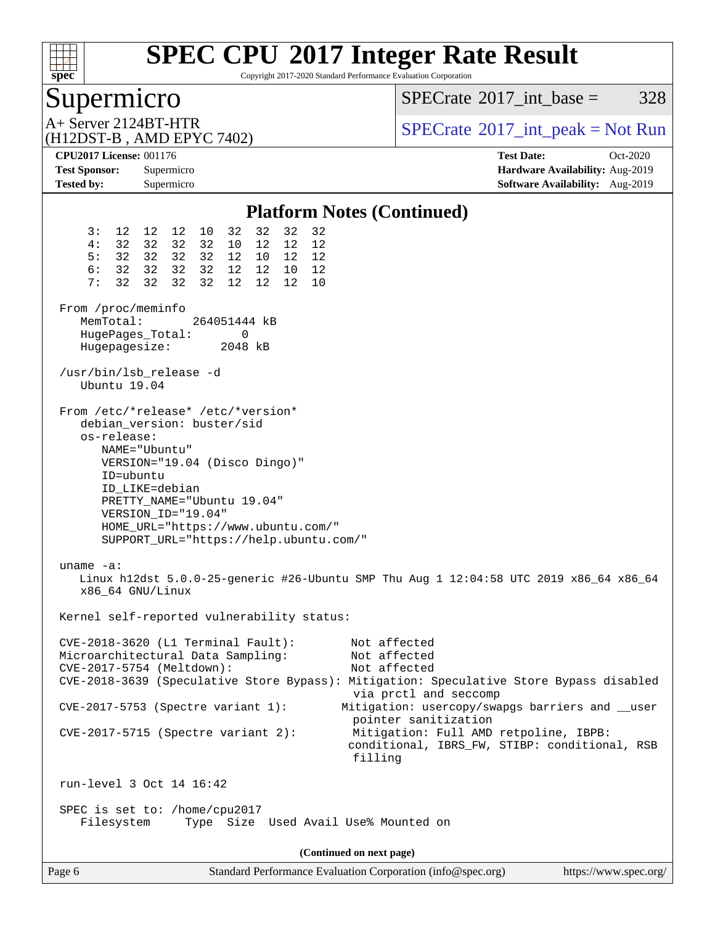

Copyright 2017-2020 Standard Performance Evaluation Corporation

# Supermicro

[SPECrate](http://www.spec.org/auto/cpu2017/Docs/result-fields.html#SPECrate2017intbase)<sup>®</sup>2017 int base =  $328$ 

(H12DST-B , AMD EPYC 7402)

 $A+$  Server 2124BT-HTR<br>(H12DST B, AMD EBVC 7402)

**[CPU2017 License:](http://www.spec.org/auto/cpu2017/Docs/result-fields.html#CPU2017License)** 001176 **[Test Date:](http://www.spec.org/auto/cpu2017/Docs/result-fields.html#TestDate)** Oct-2020 **[Test Sponsor:](http://www.spec.org/auto/cpu2017/Docs/result-fields.html#TestSponsor)** Supermicro **[Hardware Availability:](http://www.spec.org/auto/cpu2017/Docs/result-fields.html#HardwareAvailability)** Aug-2019 **[Tested by:](http://www.spec.org/auto/cpu2017/Docs/result-fields.html#Testedby)** Supermicro **Supermicro [Software Availability:](http://www.spec.org/auto/cpu2017/Docs/result-fields.html#SoftwareAvailability)** Aug-2019

#### **[Platform Notes \(Continued\)](http://www.spec.org/auto/cpu2017/Docs/result-fields.html#PlatformNotes)** 3: 12 12 12 10 32 32 32 32 4: 32 32 32 32 10 12 12 12 5: 32 32 32 32 12 10 12 12 6: 32 32 32 32 12 12 10 12 7: 32 32 32 32 12 12 12 10 From /proc/meminfo<br>MemTotal: 264051444 kB HugePages\_Total: 0 Hugepagesize: 2048 kB /usr/bin/lsb\_release -d Ubuntu 19.04 From /etc/\*release\* /etc/\*version\* debian\_version: buster/sid os-release: NAME="Ubuntu" VERSION="19.04 (Disco Dingo)" ID=ubuntu ID\_LIKE=debian PRETTY\_NAME="Ubuntu 19.04" VERSION\_ID="19.04" HOME\_URL="<https://www.ubuntu.com/"> SUPPORT\_URL="<https://help.ubuntu.com/"> uname -a: Linux h12dst 5.0.0-25-generic #26-Ubuntu SMP Thu Aug 1 12:04:58 UTC 2019 x86\_64 x86\_64 x86\_64 GNU/Linux Kernel self-reported vulnerability status: CVE-2018-3620 (L1 Terminal Fault): Not affected Microarchitectural Data Sampling: Not affected CVE-2017-5754 (Meltdown): Not affected CVE-2018-3639 (Speculative Store Bypass): Mitigation: Speculative Store Bypass disabled via prctl and seccomp CVE-2017-5753 (Spectre variant 1): Mitigation: usercopy/swapgs barriers and \_\_user pointer sanitization CVE-2017-5715 (Spectre variant 2): Mitigation: Full AMD retpoline, IBPB: conditional, IBRS\_FW, STIBP: conditional, RSB filling run-level 3 Oct 14 16:42 SPEC is set to: /home/cpu2017 Filesystem Type Size Used Avail Use% Mounted on **(Continued on next page)**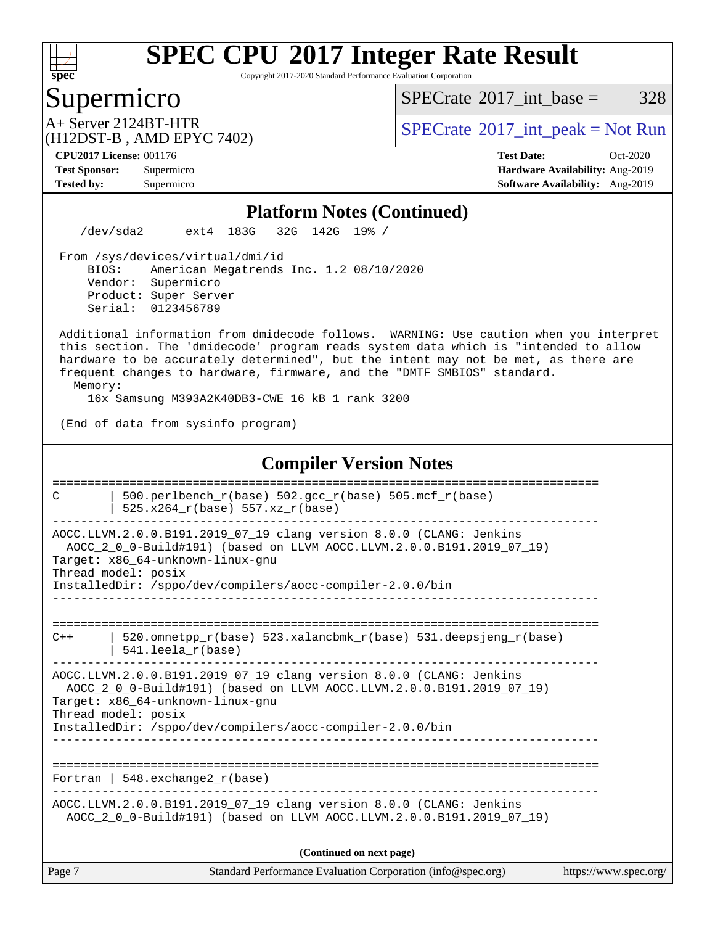

Copyright 2017-2020 Standard Performance Evaluation Corporation

## Supermicro

 $SPECTate$ <sup>®</sup>[2017\\_int\\_base =](http://www.spec.org/auto/cpu2017/Docs/result-fields.html#SPECrate2017intbase) 328

(H12DST-B , AMD EPYC 7402)

 $A+$  Server 2124BT-HTR<br>(H12DST B AMD EDVC 7402)

**[Tested by:](http://www.spec.org/auto/cpu2017/Docs/result-fields.html#Testedby)** Supermicro **[Software Availability:](http://www.spec.org/auto/cpu2017/Docs/result-fields.html#SoftwareAvailability)** Aug-2019

**[CPU2017 License:](http://www.spec.org/auto/cpu2017/Docs/result-fields.html#CPU2017License)** 001176 **[Test Date:](http://www.spec.org/auto/cpu2017/Docs/result-fields.html#TestDate)** Oct-2020 **[Test Sponsor:](http://www.spec.org/auto/cpu2017/Docs/result-fields.html#TestSponsor)** Supermicro **[Hardware Availability:](http://www.spec.org/auto/cpu2017/Docs/result-fields.html#HardwareAvailability)** Aug-2019

#### **[Platform Notes \(Continued\)](http://www.spec.org/auto/cpu2017/Docs/result-fields.html#PlatformNotes)**

/dev/sda2 ext4 183G 32G 142G 19% /

 From /sys/devices/virtual/dmi/id BIOS: American Megatrends Inc. 1.2 08/10/2020 Vendor: Supermicro Product: Super Server Serial: 0123456789

 Additional information from dmidecode follows. WARNING: Use caution when you interpret this section. The 'dmidecode' program reads system data which is "intended to allow hardware to be accurately determined", but the intent may not be met, as there are frequent changes to hardware, firmware, and the "DMTF SMBIOS" standard.

Memory:

16x Samsung M393A2K40DB3-CWE 16 kB 1 rank 3200

(End of data from sysinfo program)

#### **[Compiler Version Notes](http://www.spec.org/auto/cpu2017/Docs/result-fields.html#CompilerVersionNotes)**

| C                        | 500.perlbench $r(base)$ 502.qcc $r(base)$ 505.mcf $r(base)$<br>$525.x264_r(base) 557.xz_r(base)$                                                                                                                                                                                               |                       |  |  |
|--------------------------|------------------------------------------------------------------------------------------------------------------------------------------------------------------------------------------------------------------------------------------------------------------------------------------------|-----------------------|--|--|
|                          | AOCC.LLVM.2.0.0.B191.2019 07 19 clang version 8.0.0 (CLANG: Jenkins<br>AOCC 2 0 0-Build#191) (based on LLVM AOCC.LLVM.2.0.0.B191.2019 07 19)<br>Target: x86 64-unknown-linux-gnu<br>Thread model: posix<br>InstalledDir: /sppo/dev/compilers/aocc-compiler-2.0.0/bin                           |                       |  |  |
| $C++$                    | 520.omnetpp $r(base)$ 523.xalancbmk $r(base)$ 531.deepsjeng $r(base)$                                                                                                                                                                                                                          |                       |  |  |
|                          | $541.$ leela $r(base)$<br>AOCC.LLVM.2.0.0.B191.2019_07_19 clang version 8.0.0 (CLANG: Jenkins<br>AOCC 2 0 0-Build#191) (based on LLVM AOCC.LLVM.2.0.0.B191.2019_07_19)<br>Target: x86_64-unknown-linux-gnu<br>Thread model: posix<br>InstalledDir: /sppo/dev/compilers/aocc-compiler-2.0.0/bin |                       |  |  |
|                          | Fortran   548.exchange2 $r(base)$                                                                                                                                                                                                                                                              |                       |  |  |
|                          | AOCC.LLVM.2.0.0.B191.2019_07_19 clang version 8.0.0 (CLANG: Jenkins<br>AOCC_2_0_0-Build#191) (based on LLVM AOCC.LLVM.2.0.0.B191.2019_07_19)                                                                                                                                                   |                       |  |  |
| (Continued on next page) |                                                                                                                                                                                                                                                                                                |                       |  |  |
| Page 7                   | Standard Performance Evaluation Corporation (info@spec.org)                                                                                                                                                                                                                                    | https://www.spec.org/ |  |  |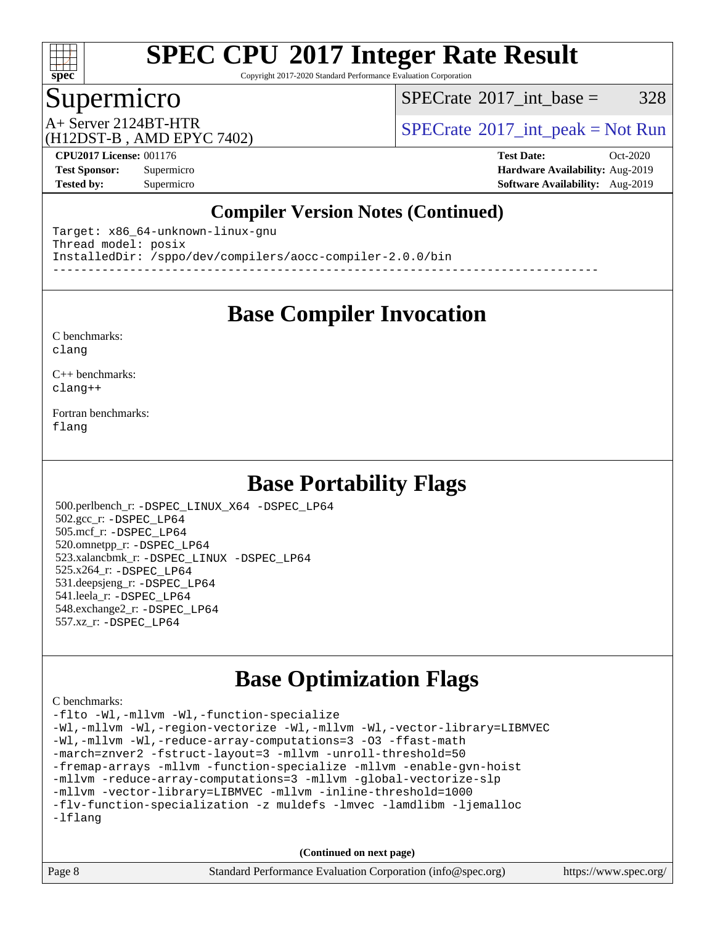

Copyright 2017-2020 Standard Performance Evaluation Corporation

# Supermicro

[SPECrate](http://www.spec.org/auto/cpu2017/Docs/result-fields.html#SPECrate2017intbase)<sup>®</sup>2017 int base =  $328$ 

# (H12DST-B , AMD EPYC 7402)

 $A+$  Server 2124BT-HTR<br>(H12DST B, AMD EBVC 7402)

**[Tested by:](http://www.spec.org/auto/cpu2017/Docs/result-fields.html#Testedby)** Supermicro **Supermicro [Software Availability:](http://www.spec.org/auto/cpu2017/Docs/result-fields.html#SoftwareAvailability)** Aug-2019

**[CPU2017 License:](http://www.spec.org/auto/cpu2017/Docs/result-fields.html#CPU2017License)** 001176 **[Test Date:](http://www.spec.org/auto/cpu2017/Docs/result-fields.html#TestDate)** Oct-2020 **[Test Sponsor:](http://www.spec.org/auto/cpu2017/Docs/result-fields.html#TestSponsor)** Supermicro **[Hardware Availability:](http://www.spec.org/auto/cpu2017/Docs/result-fields.html#HardwareAvailability)** Aug-2019

### **[Compiler Version Notes \(Continued\)](http://www.spec.org/auto/cpu2017/Docs/result-fields.html#CompilerVersionNotes)**

Target: x86\_64-unknown-linux-gnu Thread model: posix InstalledDir: /sppo/dev/compilers/aocc-compiler-2.0.0/bin ------------------------------------------------------------------------------

### **[Base Compiler Invocation](http://www.spec.org/auto/cpu2017/Docs/result-fields.html#BaseCompilerInvocation)**

#### [C benchmarks](http://www.spec.org/auto/cpu2017/Docs/result-fields.html#Cbenchmarks): [clang](http://www.spec.org/cpu2017/results/res2020q4/cpu2017-20201027-24310.flags.html#user_CCbase_clang-c)

[C++ benchmarks:](http://www.spec.org/auto/cpu2017/Docs/result-fields.html#CXXbenchmarks) [clang++](http://www.spec.org/cpu2017/results/res2020q4/cpu2017-20201027-24310.flags.html#user_CXXbase_clang-cpp)

[Fortran benchmarks](http://www.spec.org/auto/cpu2017/Docs/result-fields.html#Fortranbenchmarks): [flang](http://www.spec.org/cpu2017/results/res2020q4/cpu2017-20201027-24310.flags.html#user_FCbase_flang)

## **[Base Portability Flags](http://www.spec.org/auto/cpu2017/Docs/result-fields.html#BasePortabilityFlags)**

 500.perlbench\_r: [-DSPEC\\_LINUX\\_X64](http://www.spec.org/cpu2017/results/res2020q4/cpu2017-20201027-24310.flags.html#b500.perlbench_r_basePORTABILITY_DSPEC_LINUX_X64) [-DSPEC\\_LP64](http://www.spec.org/cpu2017/results/res2020q4/cpu2017-20201027-24310.flags.html#b500.perlbench_r_baseEXTRA_PORTABILITY_DSPEC_LP64) 502.gcc\_r: [-DSPEC\\_LP64](http://www.spec.org/cpu2017/results/res2020q4/cpu2017-20201027-24310.flags.html#suite_baseEXTRA_PORTABILITY502_gcc_r_DSPEC_LP64) 505.mcf\_r: [-DSPEC\\_LP64](http://www.spec.org/cpu2017/results/res2020q4/cpu2017-20201027-24310.flags.html#suite_baseEXTRA_PORTABILITY505_mcf_r_DSPEC_LP64) 520.omnetpp\_r: [-DSPEC\\_LP64](http://www.spec.org/cpu2017/results/res2020q4/cpu2017-20201027-24310.flags.html#suite_baseEXTRA_PORTABILITY520_omnetpp_r_DSPEC_LP64) 523.xalancbmk\_r: [-DSPEC\\_LINUX](http://www.spec.org/cpu2017/results/res2020q4/cpu2017-20201027-24310.flags.html#b523.xalancbmk_r_basePORTABILITY_DSPEC_LINUX) [-DSPEC\\_LP64](http://www.spec.org/cpu2017/results/res2020q4/cpu2017-20201027-24310.flags.html#suite_baseEXTRA_PORTABILITY523_xalancbmk_r_DSPEC_LP64) 525.x264\_r: [-DSPEC\\_LP64](http://www.spec.org/cpu2017/results/res2020q4/cpu2017-20201027-24310.flags.html#suite_baseEXTRA_PORTABILITY525_x264_r_DSPEC_LP64) 531.deepsjeng\_r: [-DSPEC\\_LP64](http://www.spec.org/cpu2017/results/res2020q4/cpu2017-20201027-24310.flags.html#suite_baseEXTRA_PORTABILITY531_deepsjeng_r_DSPEC_LP64) 541.leela\_r: [-DSPEC\\_LP64](http://www.spec.org/cpu2017/results/res2020q4/cpu2017-20201027-24310.flags.html#suite_baseEXTRA_PORTABILITY541_leela_r_DSPEC_LP64) 548.exchange2\_r: [-DSPEC\\_LP64](http://www.spec.org/cpu2017/results/res2020q4/cpu2017-20201027-24310.flags.html#suite_baseEXTRA_PORTABILITY548_exchange2_r_DSPEC_LP64) 557.xz\_r: [-DSPEC\\_LP64](http://www.spec.org/cpu2017/results/res2020q4/cpu2017-20201027-24310.flags.html#suite_baseEXTRA_PORTABILITY557_xz_r_DSPEC_LP64)

# **[Base Optimization Flags](http://www.spec.org/auto/cpu2017/Docs/result-fields.html#BaseOptimizationFlags)**

#### [C benchmarks](http://www.spec.org/auto/cpu2017/Docs/result-fields.html#Cbenchmarks):

[-flto](http://www.spec.org/cpu2017/results/res2020q4/cpu2017-20201027-24310.flags.html#user_CCbase_aocc-flto) [-Wl,-mllvm -Wl,-function-specialize](http://www.spec.org/cpu2017/results/res2020q4/cpu2017-20201027-24310.flags.html#user_CCbase_F-function-specialize_7e7e661e57922243ee67c9a1251cb8910e607325179a0ce7f2884e09a6f5d4a5ef0ae4f37e8a2a11c95fc48e931f06dc2b6016f14b511fcb441e048bef1b065a) [-Wl,-mllvm -Wl,-region-vectorize](http://www.spec.org/cpu2017/results/res2020q4/cpu2017-20201027-24310.flags.html#user_CCbase_F-region-vectorize_fb6c6b5aa293c88efc6c7c2b52b20755e943585b1fe8658c35afef78727fff56e1a56891413c30e36b8e2a6f9a71126986319243e80eb6110b78b288f533c52b) [-Wl,-mllvm -Wl,-vector-library=LIBMVEC](http://www.spec.org/cpu2017/results/res2020q4/cpu2017-20201027-24310.flags.html#user_CCbase_F-use-vector-library_0a14b27fae317f283640384a31f7bfcc2bd4c1d0b5cfc618a3a430800c9b20217b00f61303eff223a3251b4f06ffbc9739dc5296db9d1fbb9ad24a3939d86d66) [-Wl,-mllvm -Wl,-reduce-array-computations=3](http://www.spec.org/cpu2017/results/res2020q4/cpu2017-20201027-24310.flags.html#user_CCbase_F-reduce-array-computations_b882aefe7a5dda4e33149f6299762b9a720dace3e498e13756f4c04e5a19edf5315c1f3993de2e61ec41e8c206231f84e05da7040e1bb5d69ba27d10a12507e4) [-O3](http://www.spec.org/cpu2017/results/res2020q4/cpu2017-20201027-24310.flags.html#user_CCbase_F-O3) [-ffast-math](http://www.spec.org/cpu2017/results/res2020q4/cpu2017-20201027-24310.flags.html#user_CCbase_aocc-ffast-math) [-march=znver2](http://www.spec.org/cpu2017/results/res2020q4/cpu2017-20201027-24310.flags.html#user_CCbase_aocc-march_3e2e19cff2eeef60c5d90b059483627c9ea47eca6d66670dbd53f9185f6439e27eb5e104cf773e9e8ab18c8842ce63e461a3e948d0214bd567ef3ade411bf467) [-fstruct-layout=3](http://www.spec.org/cpu2017/results/res2020q4/cpu2017-20201027-24310.flags.html#user_CCbase_F-struct-layout) [-mllvm -unroll-threshold=50](http://www.spec.org/cpu2017/results/res2020q4/cpu2017-20201027-24310.flags.html#user_CCbase_F-unroll-threshold_458874500b2c105d6d5cb4d7a611c40e2b16e9e3d26b355fea72d644c3673b4de4b3932662f0ed3dbec75c491a13da2d2ca81180bd779dc531083ef1e1e549dc) [-fremap-arrays](http://www.spec.org/cpu2017/results/res2020q4/cpu2017-20201027-24310.flags.html#user_CCbase_F-fremap-arrays) [-mllvm -function-specialize](http://www.spec.org/cpu2017/results/res2020q4/cpu2017-20201027-24310.flags.html#user_CCbase_F-function-specialize_233b3bdba86027f1b094368157e481c5bc59f40286dc25bfadc1858dcd5745c24fd30d5f188710db7fea399bcc9f44a80b3ce3aacc70a8870250c3ae5e1f35b8) [-mllvm -enable-gvn-hoist](http://www.spec.org/cpu2017/results/res2020q4/cpu2017-20201027-24310.flags.html#user_CCbase_F-enable-gvn-hoist_e5856354646dd6ca1333a0ad99b817e4cf8932b91b82809fd8fd47ceff7b22a89eba5c98fd3e3fa5200368fd772cec3dd56abc3c8f7b655a71b9f9848dddedd5) [-mllvm -reduce-array-computations=3](http://www.spec.org/cpu2017/results/res2020q4/cpu2017-20201027-24310.flags.html#user_CCbase_F-reduce-array-computations_aceadb8604558b566e0e3a0d7a3c1533923dd1fa0889614e16288028922629a28d5695c24d3b3be4306b1e311c54317dfffe3a2e57fbcaabc737a1798de39145) [-mllvm -global-vectorize-slp](http://www.spec.org/cpu2017/results/res2020q4/cpu2017-20201027-24310.flags.html#user_CCbase_F-global-vectorize-slp_a3935e8627af4ced727033b1ffd4db27f4d541a363d28d82bf4c2925fb3a0fd4115d6e42d13a2829f9e024d6608eb67a85cb49770f2da5c5ac8dbc737afad603) [-mllvm -vector-library=LIBMVEC](http://www.spec.org/cpu2017/results/res2020q4/cpu2017-20201027-24310.flags.html#user_CCbase_F-use-vector-library_e584e20b4f7ec96aa109254b65d8e01d864f3d68580371b9d93ed7c338191d4cfce20c3c864632264effc6bbe4c7c38153d02096a342ee92501c4a53204a7871) [-mllvm -inline-threshold=1000](http://www.spec.org/cpu2017/results/res2020q4/cpu2017-20201027-24310.flags.html#user_CCbase_dragonegg-llvm-inline-threshold_b7832241b0a6397e4ecdbaf0eb7defdc10f885c2a282fa3240fdc99844d543fda39cf8a4a9dccf68cf19b5438ac3b455264f478df15da0f4988afa40d8243bab) [-flv-function-specialization](http://www.spec.org/cpu2017/results/res2020q4/cpu2017-20201027-24310.flags.html#user_CCbase_F-flv-function-specialization) [-z muldefs](http://www.spec.org/cpu2017/results/res2020q4/cpu2017-20201027-24310.flags.html#user_CCbase_aocc-muldefs) [-lmvec](http://www.spec.org/cpu2017/results/res2020q4/cpu2017-20201027-24310.flags.html#user_CCbase_F-lmvec) [-lamdlibm](http://www.spec.org/cpu2017/results/res2020q4/cpu2017-20201027-24310.flags.html#user_CCbase_F-lamdlibm) [-ljemalloc](http://www.spec.org/cpu2017/results/res2020q4/cpu2017-20201027-24310.flags.html#user_CCbase_jemalloc-lib) [-lflang](http://www.spec.org/cpu2017/results/res2020q4/cpu2017-20201027-24310.flags.html#user_CCbase_F-lflang)

**(Continued on next page)**

| Page 8 | Standard Performance Evaluation Corporation (info@spec.org) | https://www.spec.org/ |
|--------|-------------------------------------------------------------|-----------------------|